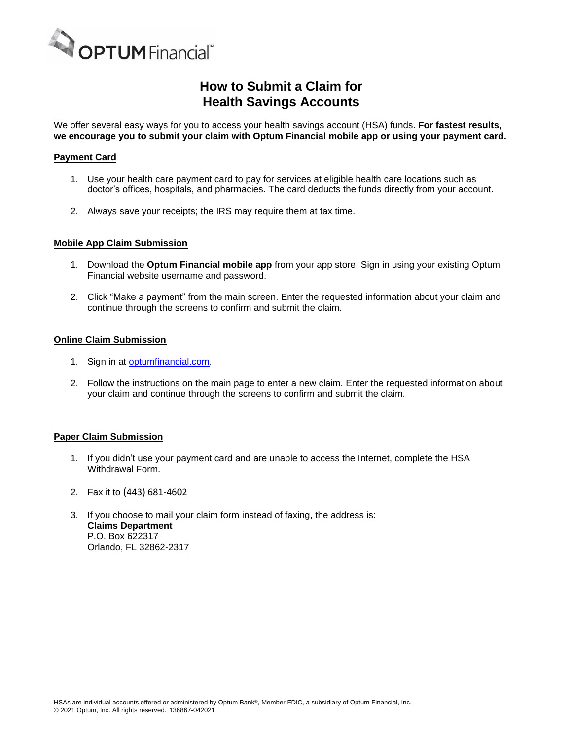

## **How to Submit a Claim for Health Savings Accounts**

We offer several easy ways for you to access your health savings account (HSA) funds. **For fastest results, we encourage you to submit your claim with Optum Financial mobile app or using your payment card.**

### **Payment Card**

- 1. Use your health care payment card to pay for services at eligible health care locations such as doctor's offices, hospitals, and pharmacies. The card deducts the funds directly from your account.
- 2. Always save your receipts; the IRS may require them at tax time.

#### **Mobile App Claim Submission**

- 1. Download the **Optum Financial mobile app** from your app store. Sign in using your existing Optum Financial website username and password.
- 2. Click "Make a payment" from the main screen. Enter the requested information about your claim and continue through the screens to confirm and submit the claim.

#### **Online Claim Submission**

- 1. Sign in at [optumfinancial.com.](http://www.optum.com/financial)
- 2. Follow the instructions on the main page to enter a new claim. Enter the requested information about your claim and continue through the screens to confirm and submit the claim.

#### **Paper Claim Submission**

- 1. If you didn't use your payment card and are unable to access the Internet, complete the HSA Withdrawal Form.
- 2. Fax it to (443) 681-4602
- 3. If you choose to mail your claim form instead of faxing, the address is: **Claims Department** P.O. Box 622317 Orlando, FL 32862-2317